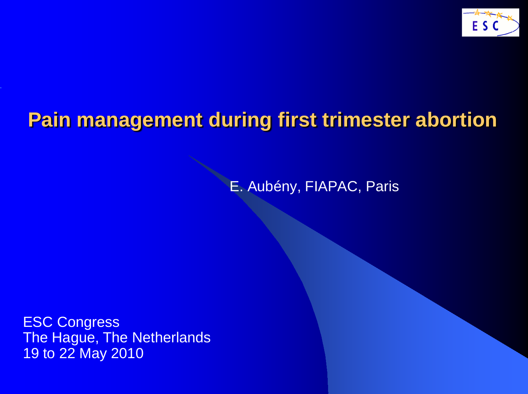

E. Aubény, FIAPAC, Paris

ESC Congress The Hague, The Netherlands 19 to 22 May 2010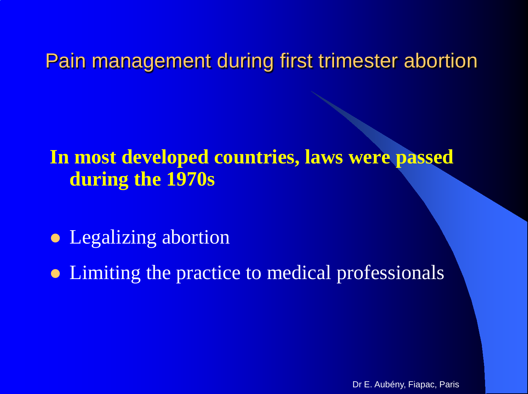### **In most developed countries, laws were passed during the 1970s**

- Legalizing abortion
- Limiting the practice to medical professionals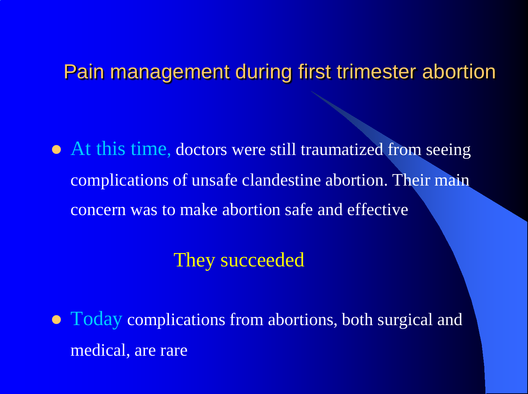• At this time, doctors were still traumatized from seeing complications of unsafe clandestine abortion. Their main concern was to make abortion safe and effective

#### They succeeded

• Today complications from abortions, both surgical and medical, are rare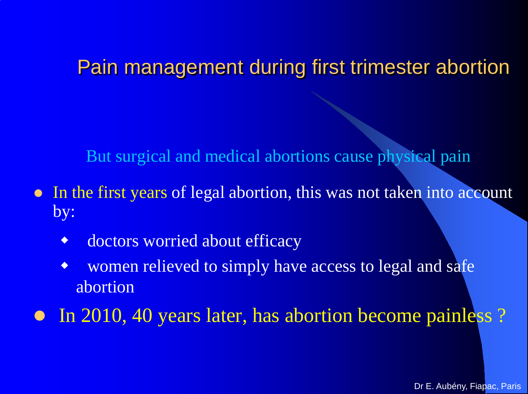But surgical and medical abortions cause physical pain

- In the first years of legal abortion, this was not taken into account by:
	- doctors worried about efficacy
	- women relieved to simply have access to legal and safe abortion

• In 2010, 40 years later, has abortion become painless?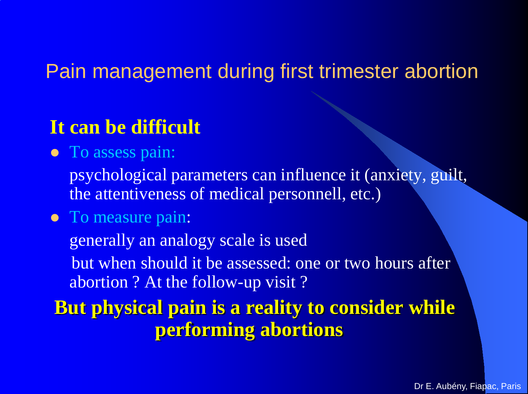### **It can be difficult**

• To assess pain:

psychological parameters can influence it (anxiety, guilt, the attentiveness of medical personnell, etc.)

• To measure pain:

generally an analogy scale is used

but when should it be assessed: one or two hours after abortion ? At the follow-up visit ?

**But physical pain is a reality to consider while performing abortions**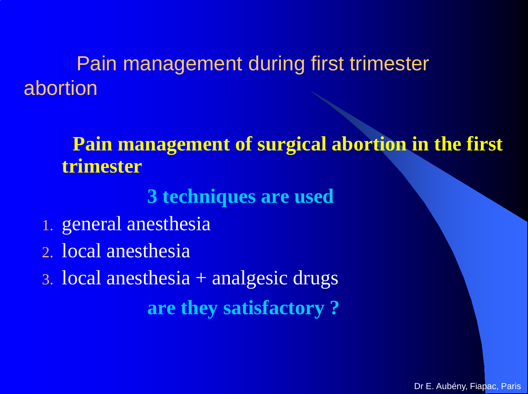#### **Pain management of surgical abortion in the first trimester**

#### **3 techniques are used**

- 1. general anesthesia
- 2. local anesthesia
- 3. local anesthesia + analgesic drugs **are they satisfactory ?**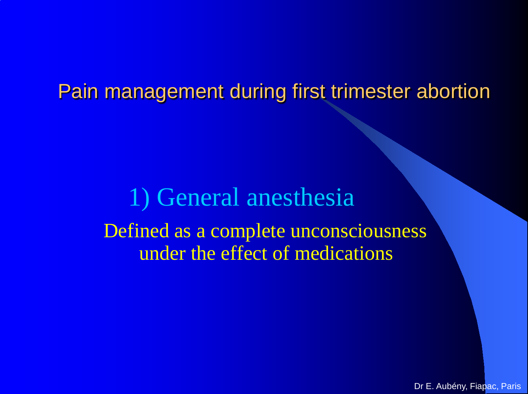# 1) General anesthesia Defined as a complete unconsciousness under the effect of medications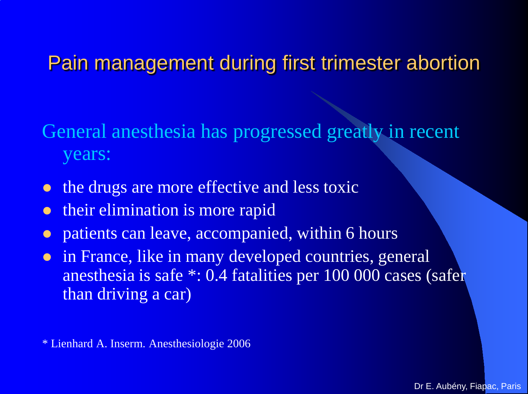General anesthesia has progressed greatly in recent years:

- the drugs are more effective and less toxic
- **their elimination is more rapid**
- patients can leave, accompanied, within 6 hours
- in France, like in many developed countries, general anesthesia is safe \*: 0.4 fatalities per 100 000 cases (safer than driving a car)

\* Lienhard A. Inserm. Anesthesiologie 2006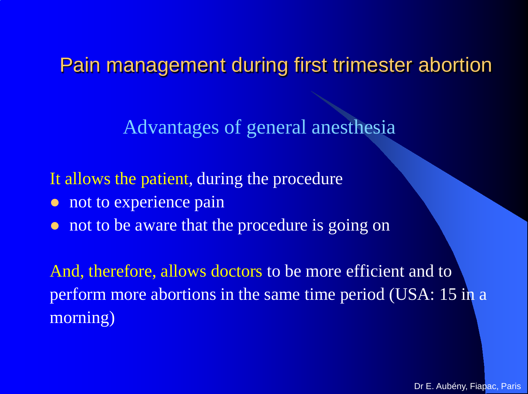Advantages of general anesthesia

It allows the patient, during the procedure

- not to experience pain
- not to be aware that the procedure is going on

And, therefore, allows doctors to be more efficient and to perform more abortions in the same time period (USA: 15 in a morning)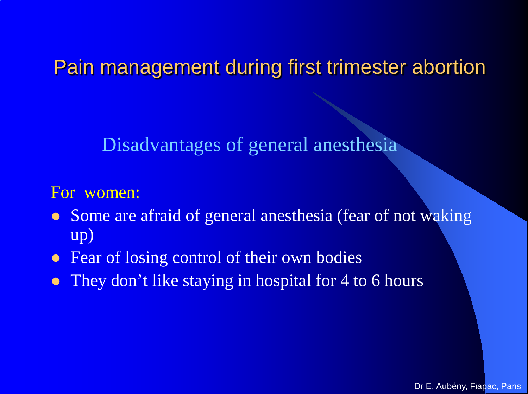Disadvantages of general anesthesia

For women:

- Some are afraid of general anesthesia (fear of not waking up)
- Fear of losing control of their own bodies
- They don't like staying in hospital for 4 to 6 hours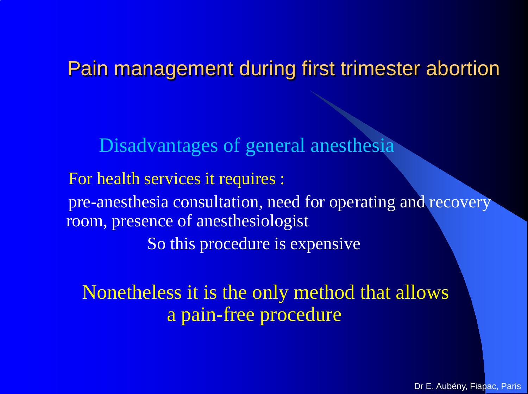Disadvantages of general anesthesia For health services it requires : pre-anesthesia consultation, need for operating and recovery room, presence of anesthesiologist So this procedure is expensive

Nonetheless it is the only method that allows a pain-free procedure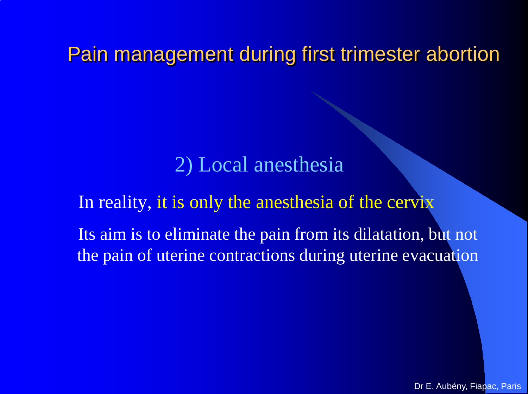#### 2) Local anesthesia

#### In reality, it is only the anesthesia of the cervix

Its aim is to eliminate the pain from its dilatation, but not the pain of uterine contractions during uterine evacuation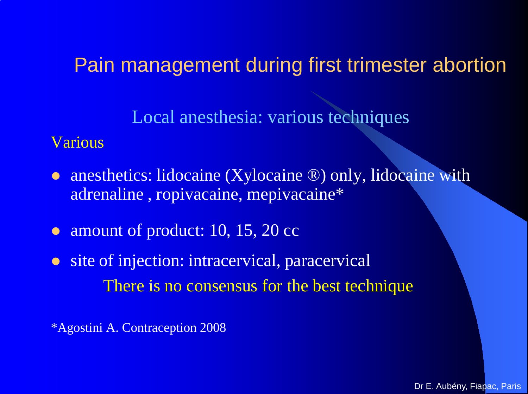Local anesthesia: various techniques

#### Various

- anesthetics: lidocaine (Xylocaine ®) only, lidocaine with adrenaline , ropivacaine, mepivacaine\*
- amount of product: 10, 15, 20 cc
- site of injection: intracervical, paracervical There is no consensus for the best technique

\*Agostini A. Contraception 2008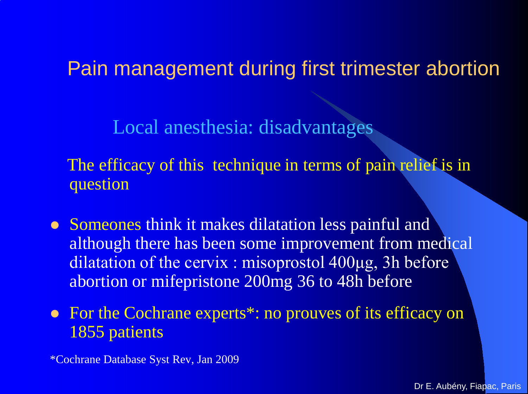Local anesthesia: disadvantages

The efficacy of this technique in terms of pain relief is in question

- Someones think it makes dilatation less painful and although there has been some improvement from medical dilatation of the cervix : misoprostol 400μg, 3h before abortion or mifepristone 200mg 36 to 48h before
- For the Cochrane experts<sup>\*</sup>: no prouves of its efficacy on 1855 patients

\*Cochrane Database Syst Rev, Jan 2009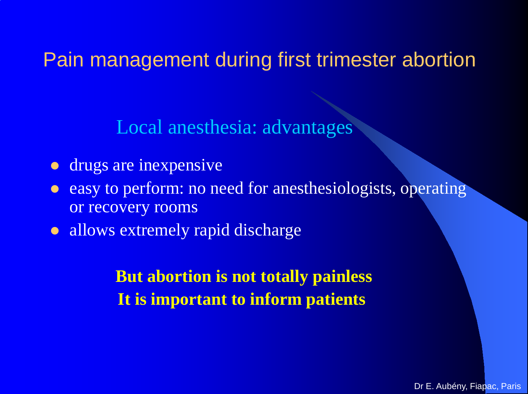Local anesthesia: advantages

- **drugs are inexpensive**
- easy to perform: no need for anesthesiologists, operating or recovery rooms
- allows extremely rapid discharge

**But abortion is not totally painless It is important to inform patients**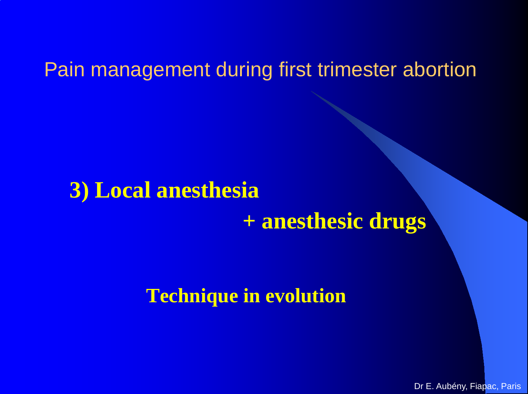## **3) Local anesthesia**

## **+ anesthesic drugs**

#### **Technique in evolution**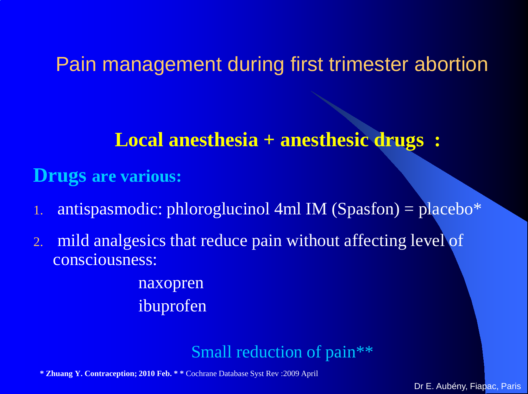#### **Local anesthesia + anesthesic drugs :**

#### **Drugs are various:**

- $\alpha$  antispasmodic: phloroglucinol 4ml IM (Spasfon) = placebo $*$
- 2. mild analgesics that reduce pain without affecting level of consciousness:

naxopren ibuprofen

#### Small reduction of pain\*\*

**\* Zhuang Y. Contraception; 2010 Feb. \* \*** Cochrane Database Syst Rev :2009 April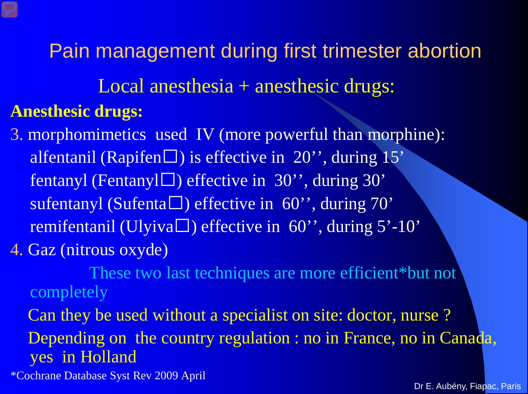Local anesthesia + anesthesic drugs:

#### **Anesthesic drugs:**

3. morphomimetics used IV (more powerful than morphine): alfentanil (Rapifen $\square$ ) is effective in 20", during 15" fentanyl (Fentanyl $\square$ ) effective in 30", during 30" sufentanyl (Sufenta $\square$ ) effective in 60", during 70" remifentanil (Ulyiva $\Box$ ) effective in 60", during 5'-10" 4. Gaz (nitrous oxyde)

These two last techniques are more efficient\*but not completely

Can they be used without a specialist on site: doctor, nurse ? Depending on the country regulation : no in France, no in Canada, yes in Holland

\*Cochrane Database Syst Rev 2009 April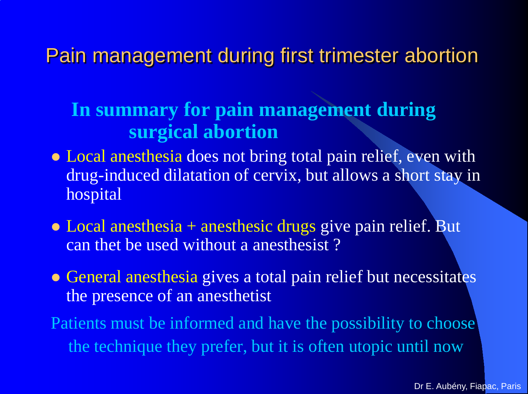### **In summary for pain management during surgical abortion**

- Local anesthesia does not bring total pain relief, even with drug-induced dilatation of cervix, but allows a short stay in hospital
- Local anesthesia + anesthesic drugs give pain relief. But can thet be used without a anesthesist ?
- General anesthesia gives a total pain relief but necessitates the presence of an anesthetist

Patients must be informed and have the possibility to choose the technique they prefer, but it is often utopic until now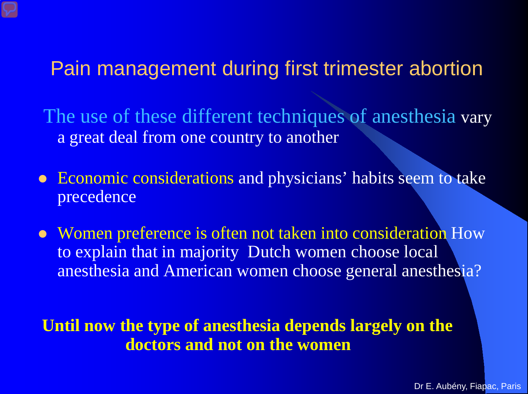The use of these different techniques of anesthesia vary a great deal from one country to another

- Economic considerations and physicians' habits seem to take precedence
- Women preference is often not taken into consideration How to explain that in majority Dutch women choose local anesthesia and American women choose general anesthesia?

**Until now the type of anesthesia depends largely on the doctors and not on the women**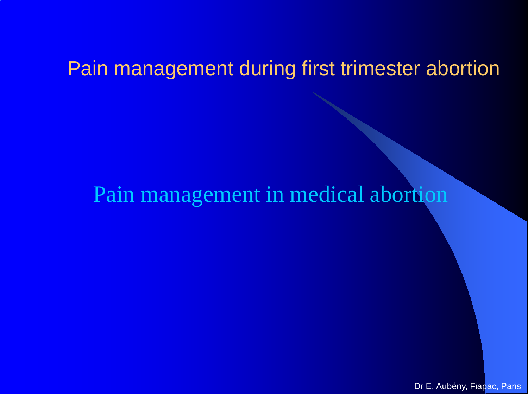## Pain management in medical abortion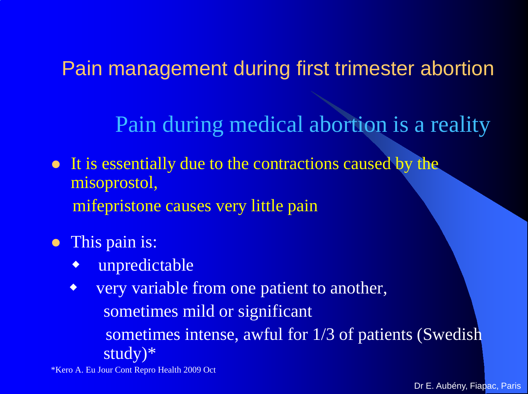Pain during medical abortion is a reality

• It is essentially due to the contractions caused by the misoprostol, mifepristone causes very little pain

**•** This pain is:

unpredictable

• very variable from one patient to another, sometimes mild or significant sometimes intense, awful for 1/3 of patients (Swedish study)\*

\*Kero A. Eu Jour Cont Repro Health 2009 Oct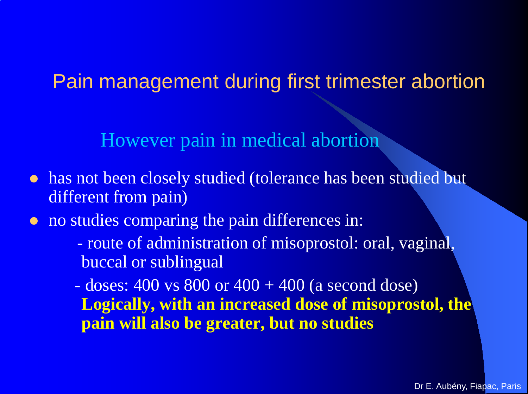However pain in medical abortion

- has not been closely studied (tolerance has been studied but different from pain)
- no studies comparing the pain differences in:
	- route of administration of misoprostol: oral, vaginal, buccal or sublingual

 $-$  doses: 400 vs 800 or 400  $+$  400 (a second dose) **Logically, with an increased dose of misoprostol, the pain will also be greater, but no studies**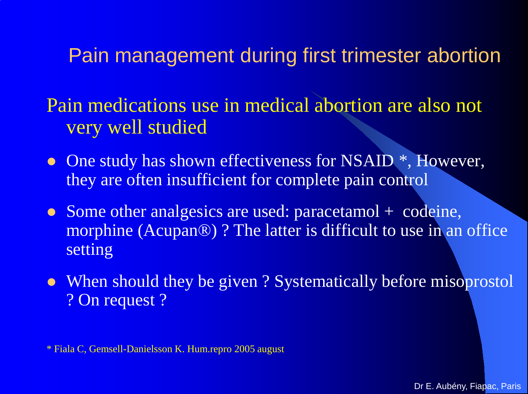Pain medications use in medical abortion are also not very well studied

- One study has shown effectiveness for NSAID  $^*$ , However, they are often insufficient for complete pain control
- Some other analgesics are used: paracetamol + codeine, morphine (Acupan®) ? The latter is difficult to use in an office setting
- When should they be given? Systematically before misoprostol ? On request ?

\* Fiala C, Gemsell-Danielsson K. Hum.repro 2005 august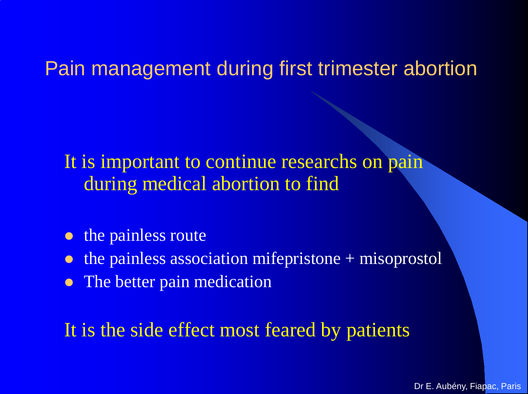It is important to continue researchs on pain during medical abortion to find

- the painless route
- the painless association mifepristone + misoprostol
- The better pain medication

It is the side effect most feared by patients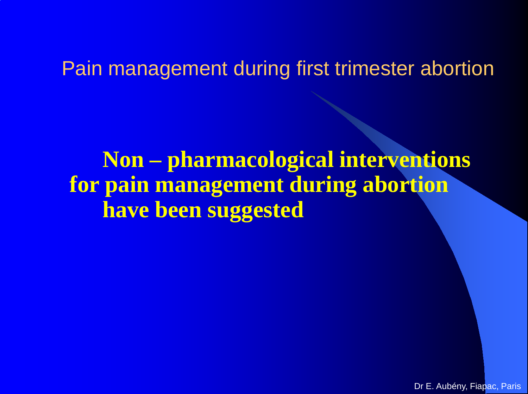**Non – pharmacological interventions for pain management during abortion have been suggested**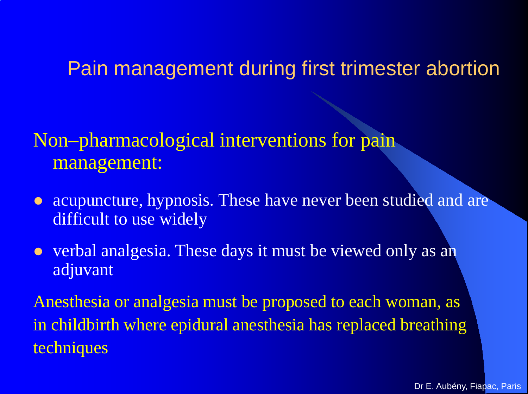### Non–pharmacological interventions for pain management:

- acupuncture, hypnosis. These have never been studied and are difficult to use widely
- verbal analgesia. These days it must be viewed only as an adjuvant

Anesthesia or analgesia must be proposed to each woman, as in childbirth where epidural anesthesia has replaced breathing techniques